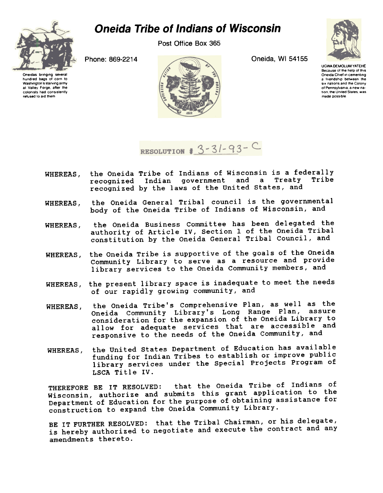

Post Office Box 365



Oneidas bringing several hundred bags of corn to Washington's starving army at Valley Forge. after the colonists had consistently refused to aId them



UGWA DEMOLUM YATEHE Because of the help of this<br>Oneida Chief in cementing a friendship between the six nations and the Colony of Pennsylvama, a new nation, the United States, was made possible.



RESOLUTION #  $3 - 31 - 93 - C$ 

- the Oneida Tribe of Indians of Wisconsin is a federally WHEREAS. recognized Indian government and a Treaty Tribe recognized by the laws of the United states, and
- the Oneida General Tribal council is the governmental WHEREAS, the Oneida General Tribal council is the governments<br>body of the Oneida Tribe of Indians of Wisconsin, and
- the Oneida Business Committee has been delegated the authority of Article IV, Section 1 of the Oneida Tribal constitution by the Oneida General Tribal Council, and WHEREAS,
- WHEREAS, the Oneida Tribe is supportive of the goals of the Oneida Community Library to serve as a resource and provide library services to the Oneida Community members, and
- WHEREAS, the present library space is inadequate to meet the need of our rapidly growing community, and
- the Oneida Tribe's Comprehensive Plan, as well as the Oneida Community Library's Long Range Plan, assur consideration for the expansion of the Oneida Library to allow for adequate services that are accessible and responsive to the needs of the Oneida Community, and WHEREAS,
- the United states Department of Education has available WHEREAS, funding for Indian Tribes to establish or improve public library services under the Special Projects Program of LSCA Title IV.

THEREFORE BE IT RESOLVED: that the Oneida Tribe of Indians of Wisconsin, authorize and submits this grant application to the Department of Education for the purpose of obtaining assistance for construction to expand the Oneida Community Library.

BE IT FURTHER RESOLVED: that the Tribal Chairman, or his delegate, is hereby authorized to negotiate and execute the contract and any amendments thereto.